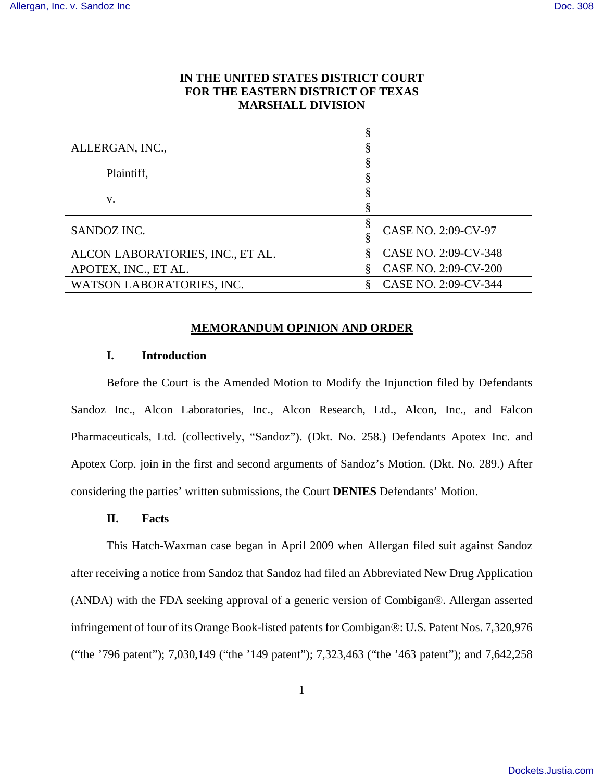# **IN THE UNITED STATES DISTRICT COURT FOR THE EASTERN DISTRICT OF TEXAS MARSHALL DIVISION**

| ALLERGAN, INC.,                  |                           |
|----------------------------------|---------------------------|
|                                  |                           |
| Plaintiff,                       |                           |
| V.                               |                           |
|                                  |                           |
| SANDOZ INC.                      | CASE NO. 2:09-CV-97       |
|                                  |                           |
| ALCON LABORATORIES, INC., ET AL. | CASE NO. 2:09-CV-348<br>§ |
| APOTEX, INC., ET AL.             | CASE NO. 2:09-CV-200      |
| WATSON LABORATORIES, INC.        | CASE NO. 2:09-CV-344      |

### **MEMORANDUM OPINION AND ORDER**

## **I. Introduction**

Before the Court is the Amended Motion to Modify the Injunction filed by Defendants Sandoz Inc., Alcon Laboratories, Inc., Alcon Research, Ltd., Alcon, Inc., and Falcon Pharmaceuticals, Ltd. (collectively, "Sandoz"). (Dkt. No. 258.) Defendants Apotex Inc. and Apotex Corp. join in the first and second arguments of Sandoz's Motion. (Dkt. No. 289.) After considering the parties' written submissions, the Court **DENIES** Defendants' Motion.

#### **II. Facts**

This Hatch-Waxman case began in April 2009 when Allergan filed suit against Sandoz after receiving a notice from Sandoz that Sandoz had filed an Abbreviated New Drug Application (ANDA) with the FDA seeking approval of a generic version of Combigan®. Allergan asserted infringement of four of its Orange Book-listed patents for Combigan®: U.S. Patent Nos. 7,320,976 ("the '796 patent"); 7,030,149 ("the '149 patent"); 7,323,463 ("the '463 patent"); and 7,642,258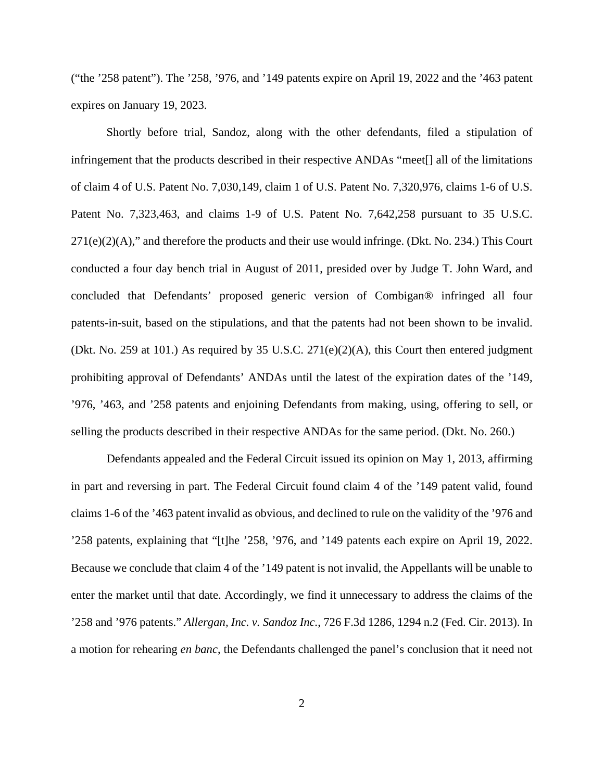("the '258 patent"). The '258, '976, and '149 patents expire on April 19, 2022 and the '463 patent expires on January 19, 2023.

Shortly before trial, Sandoz, along with the other defendants, filed a stipulation of infringement that the products described in their respective ANDAs "meet[] all of the limitations of claim 4 of U.S. Patent No. 7,030,149, claim 1 of U.S. Patent No. 7,320,976, claims 1-6 of U.S. Patent No. 7,323,463, and claims 1-9 of U.S. Patent No. 7,642,258 pursuant to 35 U.S.C.  $271(e)(2)(A)$ ," and therefore the products and their use would infringe. (Dkt. No. 234.) This Court conducted a four day bench trial in August of 2011, presided over by Judge T. John Ward, and concluded that Defendants' proposed generic version of Combigan® infringed all four patents-in-suit, based on the stipulations, and that the patents had not been shown to be invalid. (Dkt. No. 259 at 101.) As required by 35 U.S.C. 271(e)(2)(A), this Court then entered judgment prohibiting approval of Defendants' ANDAs until the latest of the expiration dates of the '149, '976, '463, and '258 patents and enjoining Defendants from making, using, offering to sell, or selling the products described in their respective ANDAs for the same period. (Dkt. No. 260.)

Defendants appealed and the Federal Circuit issued its opinion on May 1, 2013, affirming in part and reversing in part. The Federal Circuit found claim 4 of the '149 patent valid, found claims 1-6 of the '463 patent invalid as obvious, and declined to rule on the validity of the '976 and '258 patents, explaining that "[t]he '258, '976, and '149 patents each expire on April 19, 2022. Because we conclude that claim 4 of the '149 patent is not invalid, the Appellants will be unable to enter the market until that date. Accordingly, we find it unnecessary to address the claims of the '258 and '976 patents." *Allergan, Inc. v. Sandoz Inc.*, 726 F.3d 1286, 1294 n.2 (Fed. Cir. 2013). In a motion for rehearing *en banc*, the Defendants challenged the panel's conclusion that it need not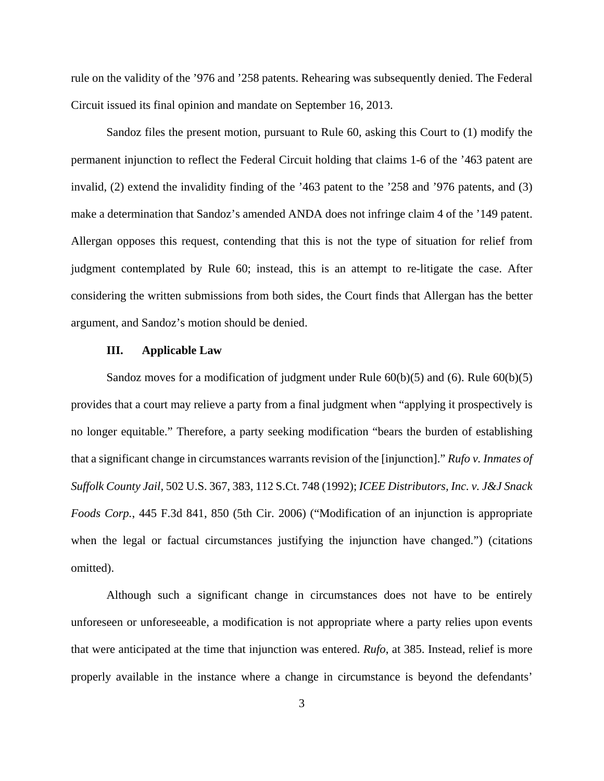rule on the validity of the '976 and '258 patents. Rehearing was subsequently denied. The Federal Circuit issued its final opinion and mandate on September 16, 2013.

Sandoz files the present motion, pursuant to Rule 60, asking this Court to (1) modify the permanent injunction to reflect the Federal Circuit holding that claims 1-6 of the '463 patent are invalid, (2) extend the invalidity finding of the '463 patent to the '258 and '976 patents, and (3) make a determination that Sandoz's amended ANDA does not infringe claim 4 of the '149 patent. Allergan opposes this request, contending that this is not the type of situation for relief from judgment contemplated by Rule 60; instead, this is an attempt to re-litigate the case. After considering the written submissions from both sides, the Court finds that Allergan has the better argument, and Sandoz's motion should be denied.

### **III. Applicable Law**

Sandoz moves for a modification of judgment under Rule 60(b)(5) and (6). Rule 60(b)(5) provides that a court may relieve a party from a final judgment when "applying it prospectively is no longer equitable." Therefore, a party seeking modification "bears the burden of establishing that a significant change in circumstances warrants revision of the [injunction]." *Rufo v. Inmates of Suffolk County Jail*, 502 U.S. 367, 383, 112 S.Ct. 748 (1992); *ICEE Distributors, Inc. v. J&J Snack Foods Corp.*, 445 F.3d 841, 850 (5th Cir. 2006) ("Modification of an injunction is appropriate when the legal or factual circumstances justifying the injunction have changed.") (citations omitted).

Although such a significant change in circumstances does not have to be entirely unforeseen or unforeseeable, a modification is not appropriate where a party relies upon events that were anticipated at the time that injunction was entered. *Rufo*, at 385. Instead, relief is more properly available in the instance where a change in circumstance is beyond the defendants'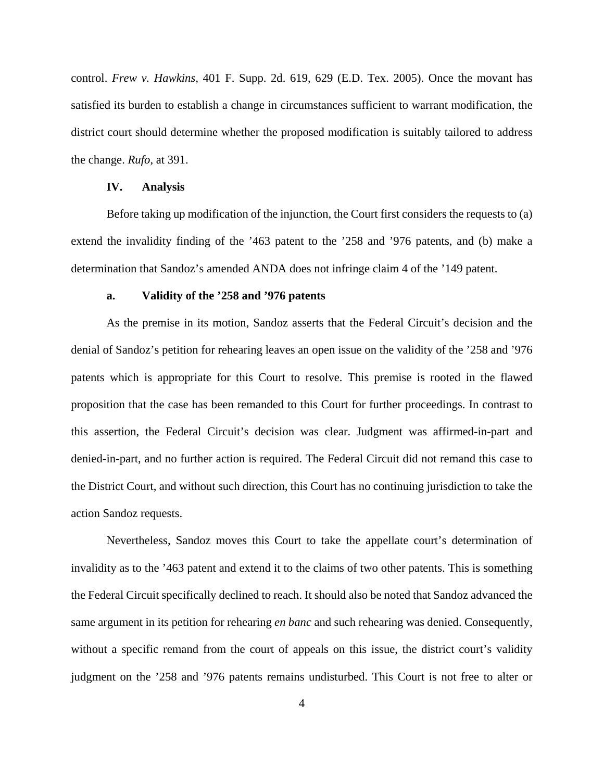control. *Frew v. Hawkins*, 401 F. Supp. 2d. 619, 629 (E.D. Tex. 2005). Once the movant has satisfied its burden to establish a change in circumstances sufficient to warrant modification, the district court should determine whether the proposed modification is suitably tailored to address the change. *Rufo*, at 391.

### **IV. Analysis**

Before taking up modification of the injunction, the Court first considers the requests to (a) extend the invalidity finding of the '463 patent to the '258 and '976 patents, and (b) make a determination that Sandoz's amended ANDA does not infringe claim 4 of the '149 patent.

#### **a. Validity of the '258 and '976 patents**

As the premise in its motion, Sandoz asserts that the Federal Circuit's decision and the denial of Sandoz's petition for rehearing leaves an open issue on the validity of the '258 and '976 patents which is appropriate for this Court to resolve. This premise is rooted in the flawed proposition that the case has been remanded to this Court for further proceedings. In contrast to this assertion, the Federal Circuit's decision was clear. Judgment was affirmed-in-part and denied-in-part, and no further action is required. The Federal Circuit did not remand this case to the District Court, and without such direction, this Court has no continuing jurisdiction to take the action Sandoz requests.

Nevertheless, Sandoz moves this Court to take the appellate court's determination of invalidity as to the '463 patent and extend it to the claims of two other patents. This is something the Federal Circuit specifically declined to reach. It should also be noted that Sandoz advanced the same argument in its petition for rehearing *en banc* and such rehearing was denied. Consequently, without a specific remand from the court of appeals on this issue, the district court's validity judgment on the '258 and '976 patents remains undisturbed. This Court is not free to alter or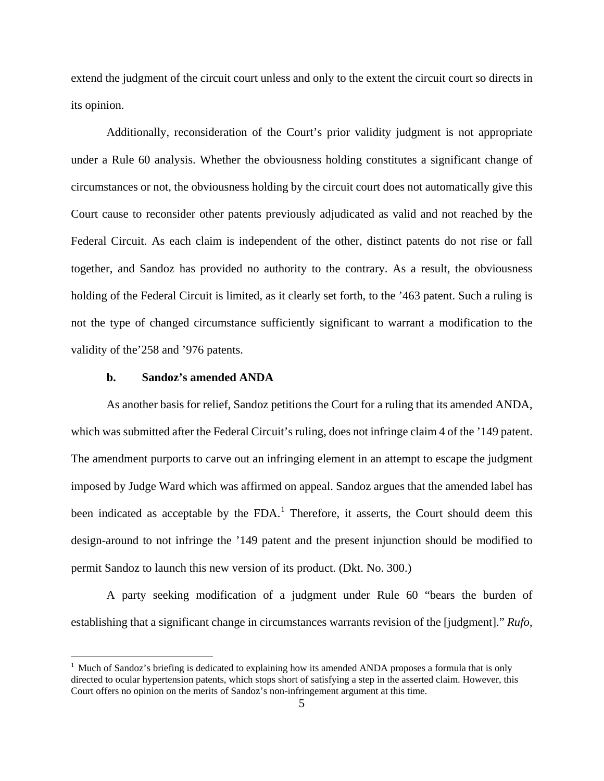extend the judgment of the circuit court unless and only to the extent the circuit court so directs in its opinion.

Additionally, reconsideration of the Court's prior validity judgment is not appropriate under a Rule 60 analysis. Whether the obviousness holding constitutes a significant change of circumstances or not, the obviousness holding by the circuit court does not automatically give this Court cause to reconsider other patents previously adjudicated as valid and not reached by the Federal Circuit. As each claim is independent of the other, distinct patents do not rise or fall together, and Sandoz has provided no authority to the contrary. As a result, the obviousness holding of the Federal Circuit is limited, as it clearly set forth, to the '463 patent. Such a ruling is not the type of changed circumstance sufficiently significant to warrant a modification to the validity of the'258 and '976 patents.

### **b. Sandoz's amended ANDA**

 $\overline{a}$ 

As another basis for relief, Sandoz petitions the Court for a ruling that its amended ANDA, which was submitted after the Federal Circuit's ruling, does not infringe claim 4 of the '149 patent. The amendment purports to carve out an infringing element in an attempt to escape the judgment imposed by Judge Ward which was affirmed on appeal. Sandoz argues that the amended label has been indicated as acceptable by the  $FDA$ .<sup>1</sup> Therefore, it asserts, the Court should deem this design-around to not infringe the '149 patent and the present injunction should be modified to permit Sandoz to launch this new version of its product. (Dkt. No. 300.)

A party seeking modification of a judgment under Rule 60 "bears the burden of establishing that a significant change in circumstances warrants revision of the [judgment]." *Rufo*,

<sup>&</sup>lt;sup>1</sup> Much of Sandoz's briefing is dedicated to explaining how its amended ANDA proposes a formula that is only directed to ocular hypertension patents, which stops short of satisfying a step in the asserted claim. However, this Court offers no opinion on the merits of Sandoz's non-infringement argument at this time.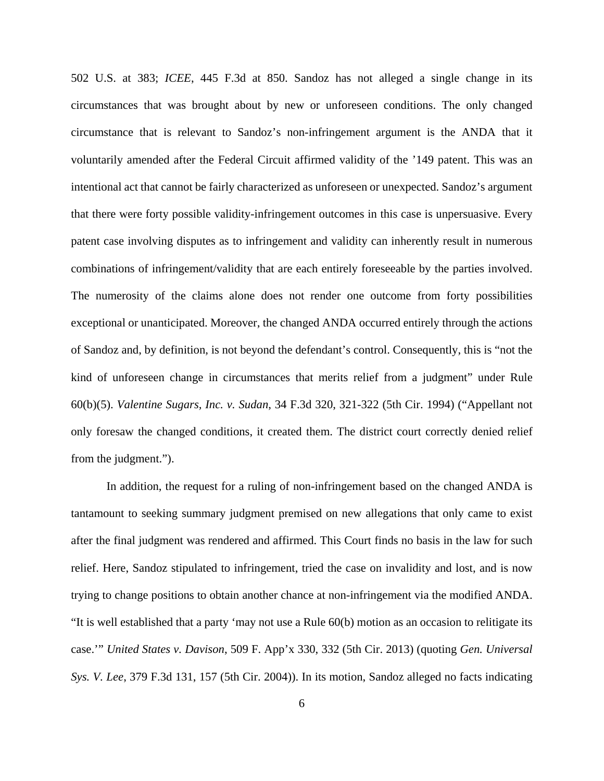502 U.S. at 383; *ICEE*, 445 F.3d at 850. Sandoz has not alleged a single change in its circumstances that was brought about by new or unforeseen conditions. The only changed circumstance that is relevant to Sandoz's non-infringement argument is the ANDA that it voluntarily amended after the Federal Circuit affirmed validity of the '149 patent. This was an intentional act that cannot be fairly characterized as unforeseen or unexpected. Sandoz's argument that there were forty possible validity-infringement outcomes in this case is unpersuasive. Every patent case involving disputes as to infringement and validity can inherently result in numerous combinations of infringement/validity that are each entirely foreseeable by the parties involved. The numerosity of the claims alone does not render one outcome from forty possibilities exceptional or unanticipated. Moreover, the changed ANDA occurred entirely through the actions of Sandoz and, by definition, is not beyond the defendant's control. Consequently, this is "not the kind of unforeseen change in circumstances that merits relief from a judgment" under Rule 60(b)(5). *Valentine Sugars, Inc. v. Sudan*, 34 F.3d 320, 321-322 (5th Cir. 1994) ("Appellant not only foresaw the changed conditions, it created them. The district court correctly denied relief from the judgment.").

In addition, the request for a ruling of non-infringement based on the changed ANDA is tantamount to seeking summary judgment premised on new allegations that only came to exist after the final judgment was rendered and affirmed. This Court finds no basis in the law for such relief. Here, Sandoz stipulated to infringement, tried the case on invalidity and lost, and is now trying to change positions to obtain another chance at non-infringement via the modified ANDA. "It is well established that a party 'may not use a Rule 60(b) motion as an occasion to relitigate its case.'" *United States v. Davison*, 509 F. App'x 330, 332 (5th Cir. 2013) (quoting *Gen. Universal Sys. V. Lee*, 379 F.3d 131, 157 (5th Cir. 2004)). In its motion, Sandoz alleged no facts indicating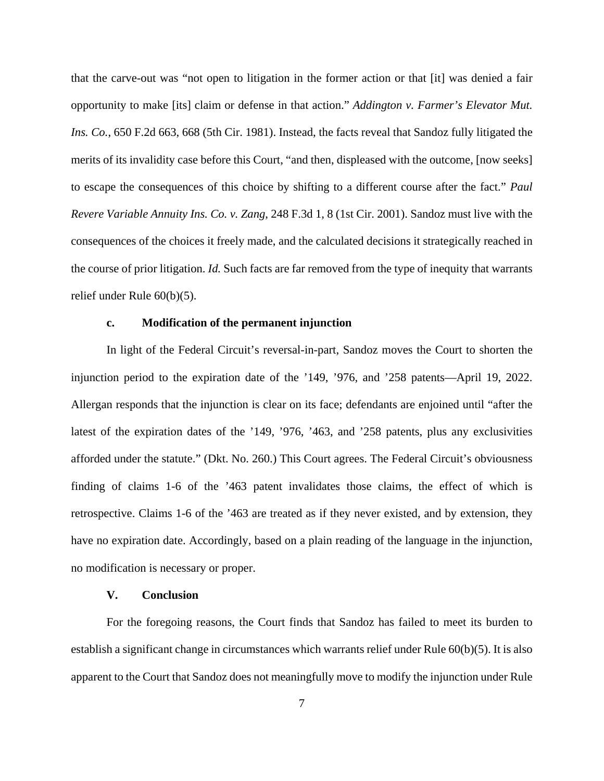that the carve-out was "not open to litigation in the former action or that [it] was denied a fair opportunity to make [its] claim or defense in that action." *Addington v. Farmer's Elevator Mut. Ins. Co.*, 650 F.2d 663, 668 (5th Cir. 1981). Instead, the facts reveal that Sandoz fully litigated the merits of its invalidity case before this Court, "and then, displeased with the outcome, [now seeks] to escape the consequences of this choice by shifting to a different course after the fact." *Paul Revere Variable Annuity Ins. Co. v. Zang*, 248 F.3d 1, 8 (1st Cir. 2001). Sandoz must live with the consequences of the choices it freely made, and the calculated decisions it strategically reached in the course of prior litigation. *Id.* Such facts are far removed from the type of inequity that warrants relief under Rule 60(b)(5).

#### **c. Modification of the permanent injunction**

In light of the Federal Circuit's reversal-in-part, Sandoz moves the Court to shorten the injunction period to the expiration date of the '149, '976, and '258 patents—April 19, 2022. Allergan responds that the injunction is clear on its face; defendants are enjoined until "after the latest of the expiration dates of the '149, '976, '463, and '258 patents, plus any exclusivities afforded under the statute." (Dkt. No. 260.) This Court agrees. The Federal Circuit's obviousness finding of claims 1-6 of the '463 patent invalidates those claims, the effect of which is retrospective. Claims 1-6 of the '463 are treated as if they never existed, and by extension, they have no expiration date. Accordingly, based on a plain reading of the language in the injunction, no modification is necessary or proper.

### **V. Conclusion**

For the foregoing reasons, the Court finds that Sandoz has failed to meet its burden to establish a significant change in circumstances which warrants relief under Rule  $60(b)(5)$ . It is also apparent to the Court that Sandoz does not meaningfully move to modify the injunction under Rule